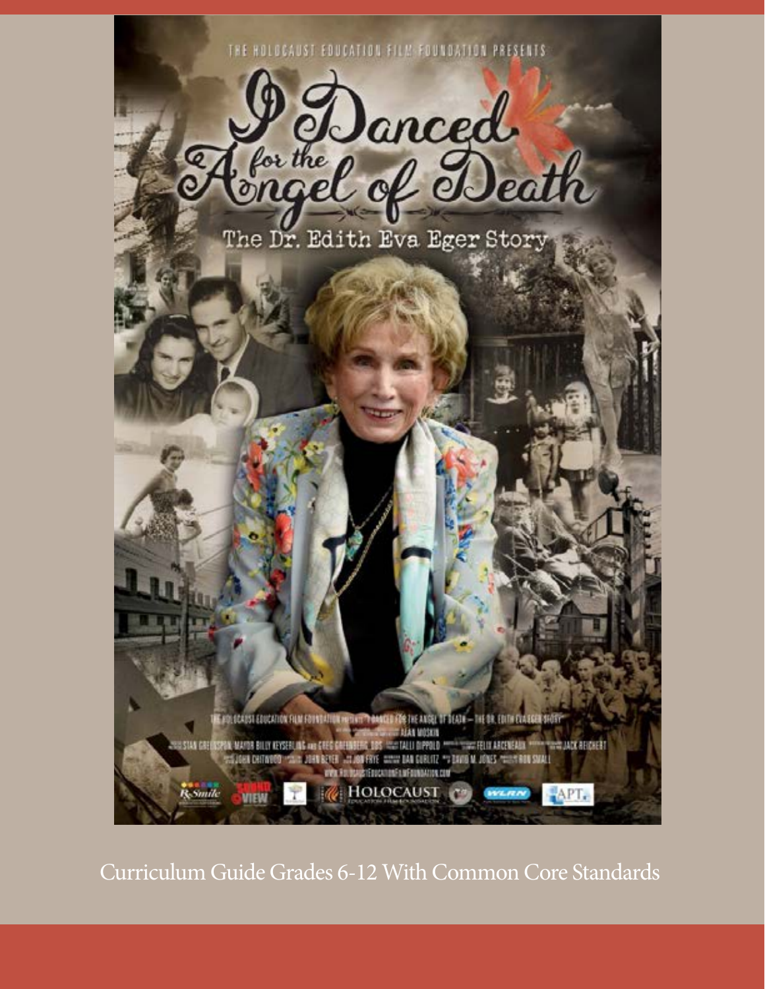THE HOLOCAUST EDUCATION FILM FOUNDATION PRESENTS



The Dr. Edith Eva Eger Story

IE POLSCASSI ESUCATION FILM FOVATATION HERVIT THANKING FOR THE ANSEL OF DECAY — THE SK. EDITH CLAUSER SHOT !! **THE ADEREST** WAS FIX BOARD FEDERATION FIX MEDIMINATION COM **Resunte HOLOCAUST** APT. **VITEM** WELRN

Curriculum Guide Grades 6-12 With Common Core Standards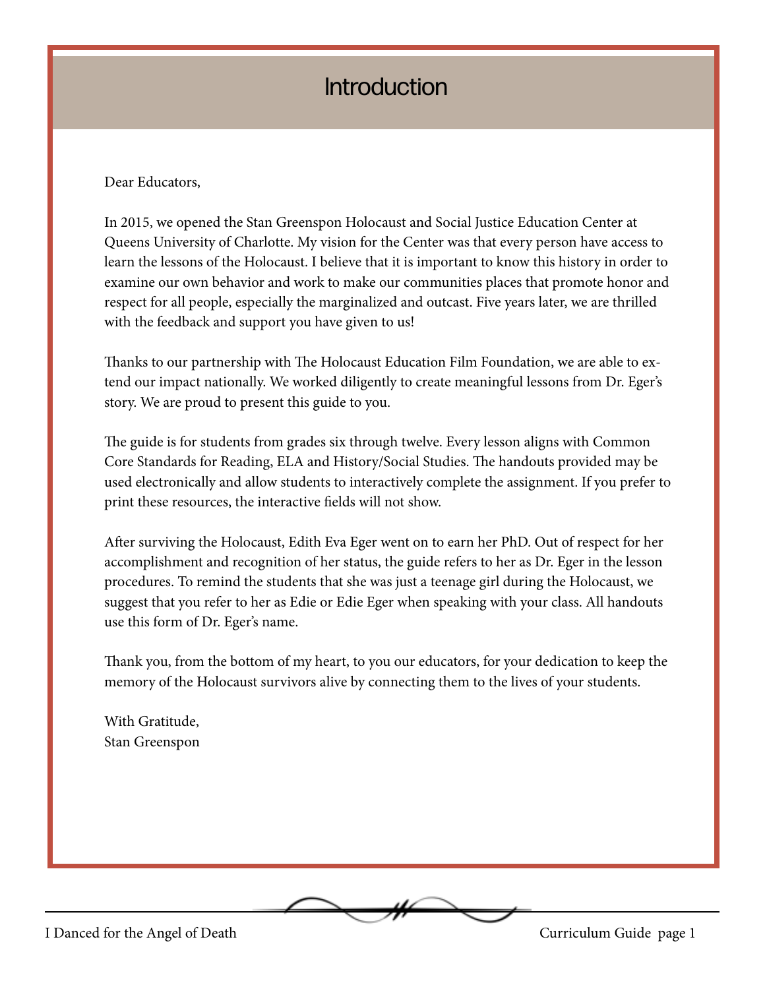# **Introduction**

Dear Educators,

In 2015, we opened the Stan Greenspon Holocaust and Social Justice Education Center at Queens University of Charlotte. My vision for the Center was that every person have access to learn the lessons of the Holocaust. I believe that it is important to know this history in order to examine our own behavior and work to make our communities places that promote honor and respect for all people, especially the marginalized and outcast. Five years later, we are thrilled with the feedback and support you have given to us!

Thanks to our partnership with The Holocaust Education Film Foundation, we are able to extend our impact nationally. We worked diligently to create meaningful lessons from Dr. Eger's story. We are proud to present this guide to you.

The guide is for students from grades six through twelve. Every lesson aligns with Common Core Standards for Reading, ELA and History/Social Studies. The handouts provided may be used electronically and allow students to interactively complete the assignment. If you prefer to print these resources, the interactive fields will not show.

After surviving the Holocaust, Edith Eva Eger went on to earn her PhD. Out of respect for her accomplishment and recognition of her status, the guide refers to her as Dr. Eger in the lesson procedures. To remind the students that she was just a teenage girl during the Holocaust, we suggest that you refer to her as Edie or Edie Eger when speaking with your class. All handouts use this form of Dr. Eger's name.

Thank you, from the bottom of my heart, to you our educators, for your dedication to keep the memory of the Holocaust survivors alive by connecting them to the lives of your students.

With Gratitude, Stan Greenspon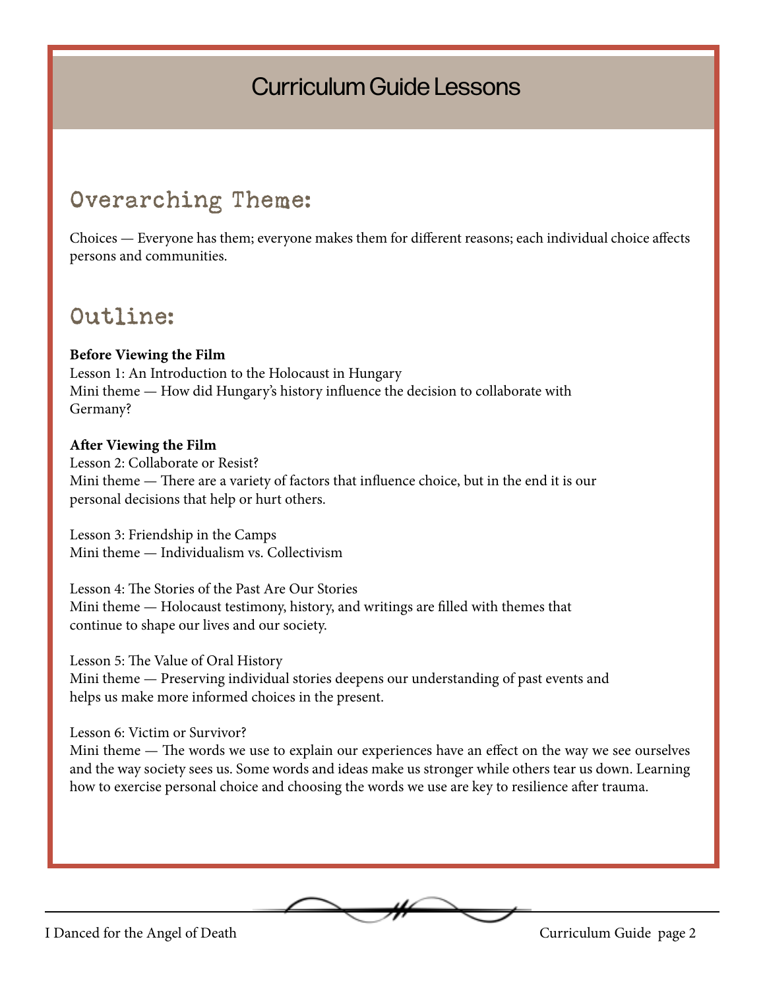# Curriculum Guide Lessons

# Overarching Theme:

Choices — Everyone has them; everyone makes them for different reasons; each individual choice affects persons and communities.

# Outline:

#### **Before Viewing the Film**

Lesson 1: An Introduction to the Holocaust in Hungary Mini theme — How did Hungary's history influence the decision to collaborate with Germany?

#### **After Viewing the Film**

Lesson 2: Collaborate or Resist? Mini theme — There are a variety of factors that influence choice, but in the end it is our personal decisions that help or hurt others.

Lesson 3: Friendship in the Camps Mini theme — Individualism vs. Collectivism

Lesson 4: The Stories of the Past Are Our Stories Mini theme — Holocaust testimony, history, and writings are filled with themes that continue to shape our lives and our society.

Lesson 5: The Value of Oral History

Mini theme — Preserving individual stories deepens our understanding of past events and helps us make more informed choices in the present.

Lesson 6: Victim or Survivor?

Mini theme — The words we use to explain our experiences have an effect on the way we see ourselves and the way society sees us. Some words and ideas make us stronger while others tear us down. Learning how to exercise personal choice and choosing the words we use are key to resilience after trauma.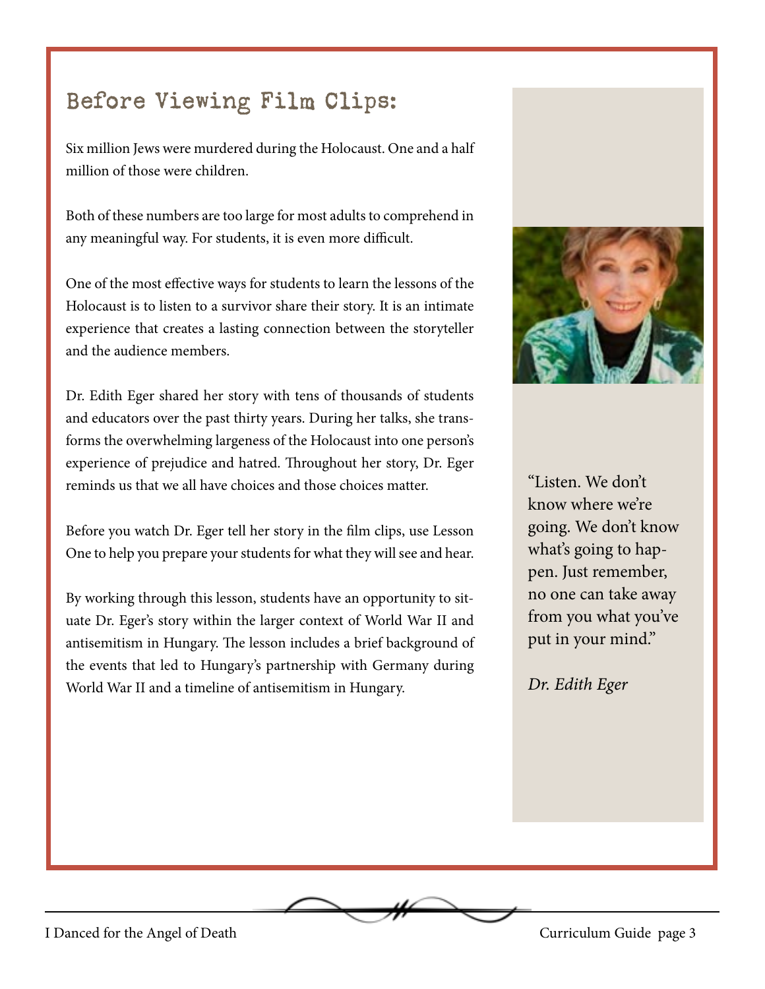# Before Viewing Film Clips:

Six million Jews were murdered during the Holocaust. One and a half million of those were children.

Both of these numbers are too large for most adults to comprehend in any meaningful way. For students, it is even more difficult.

One of the most effective ways for students to learn the lessons of the Holocaust is to listen to a survivor share their story. It is an intimate experience that creates a lasting connection between the storyteller and the audience members.

Dr. Edith Eger shared her story with tens of thousands of students and educators over the past thirty years. During her talks, she transforms the overwhelming largeness of the Holocaust into one person's experience of prejudice and hatred. Throughout her story, Dr. Eger reminds us that we all have choices and those choices matter.

Before you watch Dr. Eger tell her story in the film clips, use Lesson One to help you prepare your students for what they will see and hear.

By working through this lesson, students have an opportunity to situate Dr. Eger's story within the larger context of World War II and antisemitism in Hungary. The lesson includes a brief background of the events that led to Hungary's partnership with Germany during World War II and a timeline of antisemitism in Hungary.



"Listen. We don't know where we're going. We don't know what's going to happen. Just remember, no one can take away from you what you've put in your mind."

*Dr. Edith Eger*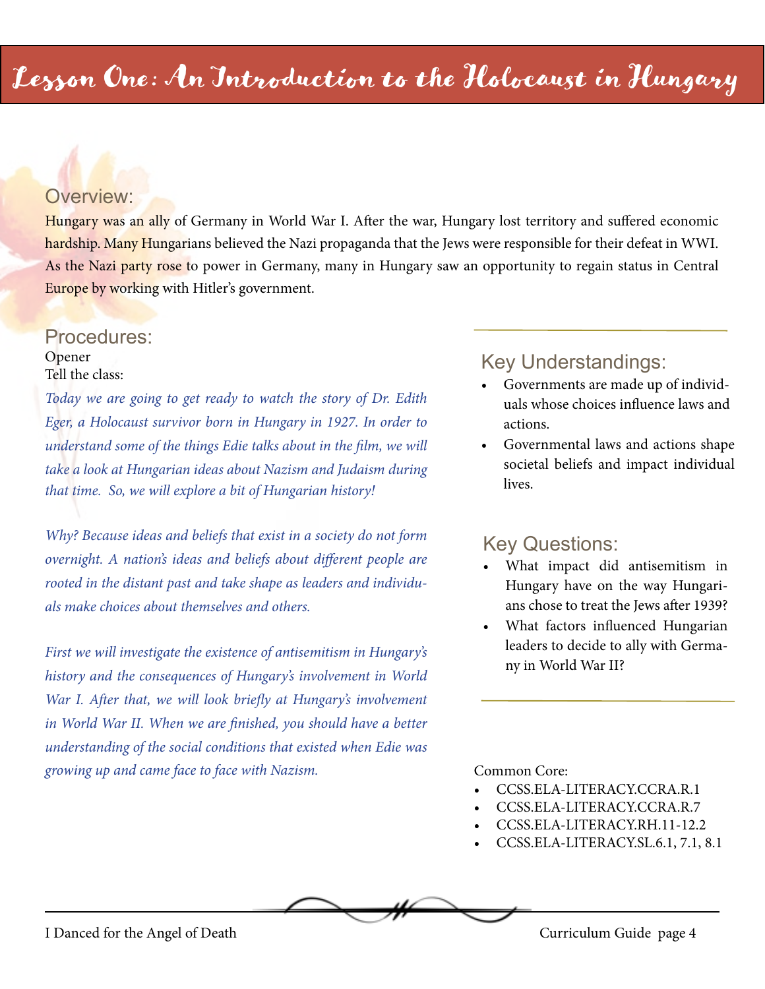#### Overview:

Hungary was an ally of Germany in World War I. After the war, Hungary lost territory and suffered economic hardship. Many Hungarians believed the Nazi propaganda that the Jews were responsible for their defeat in WWI. As the Nazi party rose to power in Germany, many in Hungary saw an opportunity to regain status in Central Europe by working with Hitler's government.

#### Procedures: Opener Tell the class:

*Today we are going to get ready to watch the story of Dr. Edith Eger, a Holocaust survivor born in Hungary in 1927. In order to understand some of the things Edie talks about in the film, we will take a look at Hungarian ideas about Nazism and Judaism during that time. So, we will explore a bit of Hungarian history!* 

*Why? Because ideas and beliefs that exist in a society do not form overnight. A nation's ideas and beliefs about different people are rooted in the distant past and take shape as leaders and individuals make choices about themselves and others.*

*First we will investigate the existence of antisemitism in Hungary's history and the consequences of Hungary's involvement in World*  War I. After that, we will look briefly at Hungary's involvement *in World War II. When we are finished, you should have a better understanding of the social conditions that existed when Edie was growing up and came face to face with Nazism.* Common Core:

### Key Understandings:

- Governments are made up of individuals whose choices influence laws and actions.
- Governmental laws and actions shape societal beliefs and impact individual lives.

#### Key Questions:

- What impact did antisemitism in Hungary have on the way Hungarians chose to treat the Jews after 1939?
- What factors influenced Hungarian leaders to decide to ally with Germany in World War II?

- CCSS.ELA-LITERACY.CCRA.R.1
- CCSS.ELA-LITERACY.CCRA.R.7
- CCSS.ELA-LITERACY.RH.11-12.2
- CCSS.ELA-LITERACY.SL.6.1, 7.1, 8.1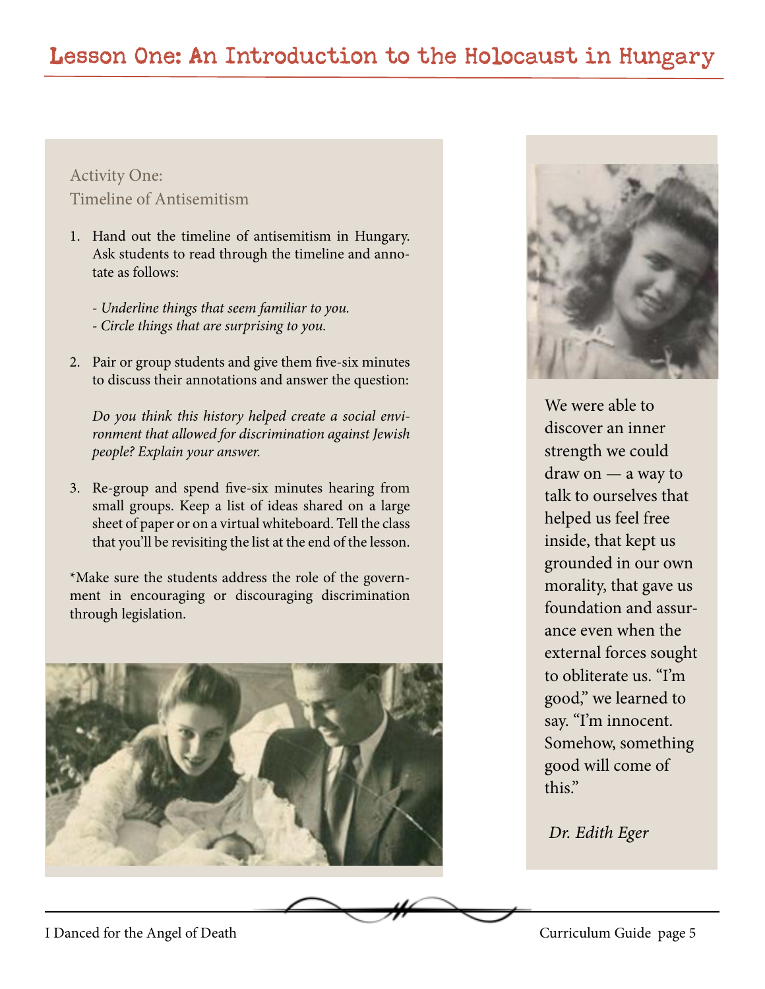#### Activity One: Timeline of Antisemitism

- 1. Hand out the timeline of antisemitism in Hungary. Ask students to read through the timeline and annotate as follows:
	- *Underline things that seem familiar to you. - Circle things that are surprising to you.*
- 2. Pair or group students and give them five-six minutes to discuss their annotations and answer the question:

*Do you think this history helped create a social environment that allowed for discrimination against Jewish people? Explain your answer.*

3. Re-group and spend five-six minutes hearing from small groups. Keep a list of ideas shared on a large sheet of paper or on a virtual whiteboard. Tell the class that you'll be revisiting the list at the end of the lesson.

\*Make sure the students address the role of the government in encouraging or discouraging discrimination through legislation.





We were able to discover an inner strength we could draw on — a way to talk to ourselves that helped us feel free inside, that kept us grounded in our own morality, that gave us foundation and assurance even when the external forces sought to obliterate us. "I'm good," we learned to say. "I'm innocent. Somehow, something good will come of this."

 *Dr. Edith Eger*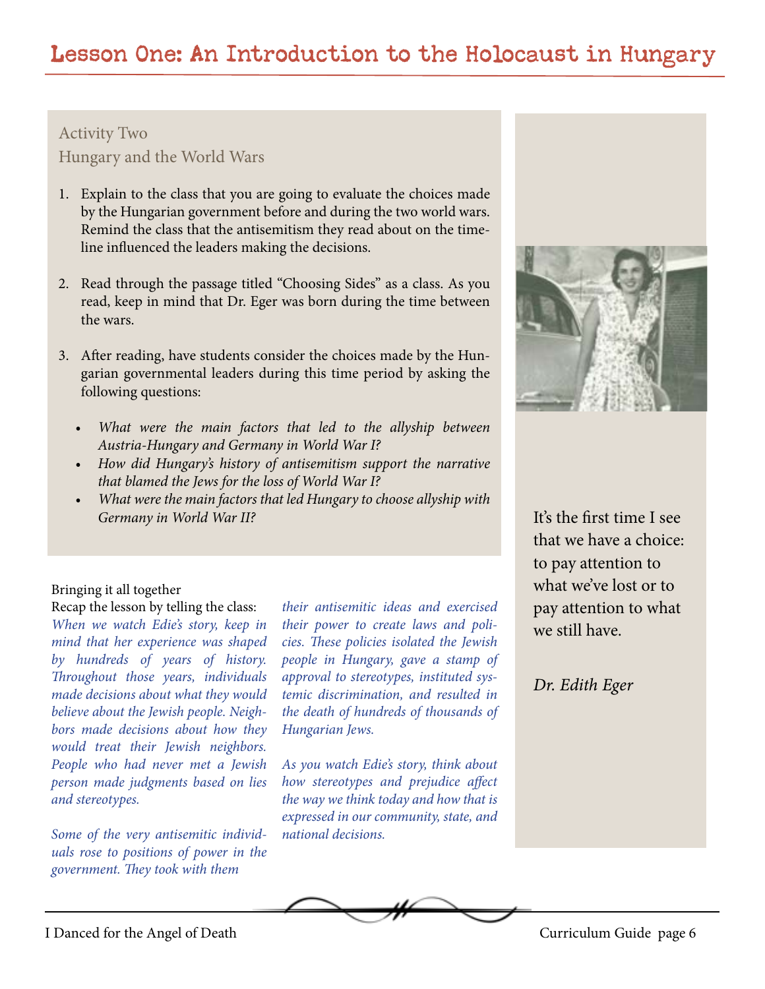# Lesson One: An Introduction to the Holocaust in Hungary

Activity Two Hungary and the World Wars

- 1. Explain to the class that you are going to evaluate the choices made by the Hungarian government before and during the two world wars. Remind the class that the antisemitism they read about on the timeline influenced the leaders making the decisions.
- 2. Read through the passage titled "Choosing Sides" as a class. As you read, keep in mind that Dr. Eger was born during the time between the wars.
- 3. After reading, have students consider the choices made by the Hungarian governmental leaders during this time period by asking the following questions:
	- *• What were the main factors that led to the allyship between Austria-Hungary and Germany in World War I?*
	- *• How did Hungary's history of antisemitism support the narrative that blamed the Jews for the loss of World War I?*
	- *• What were the main factors that led Hungary to choose allyship with Germany in World War II?*

#### Bringing it all together

Recap the lesson by telling the class: *When we watch Edie's story, keep in mind that her experience was shaped by hundreds of years of history. Throughout those years, individuals made decisions about what they would believe about the Jewish people. Neighbors made decisions about how they would treat their Jewish neighbors. People who had never met a Jewish person made judgments based on lies and stereotypes.*

*Some of the very antisemitic individuals rose to positions of power in the government. They took with them* 

*their antisemitic ideas and exercised their power to create laws and policies. These policies isolated the Jewish people in Hungary, gave a stamp of approval to stereotypes, instituted systemic discrimination, and resulted in the death of hundreds of thousands of Hungarian Jews.*

*As you watch Edie's story, think about how stereotypes and prejudice affect the way we think today and how that is expressed in our community, state, and national decisions.*



It's the first time I see that we have a choice: to pay attention to what we've lost or to pay attention to what we still have.

*Dr. Edith Eger*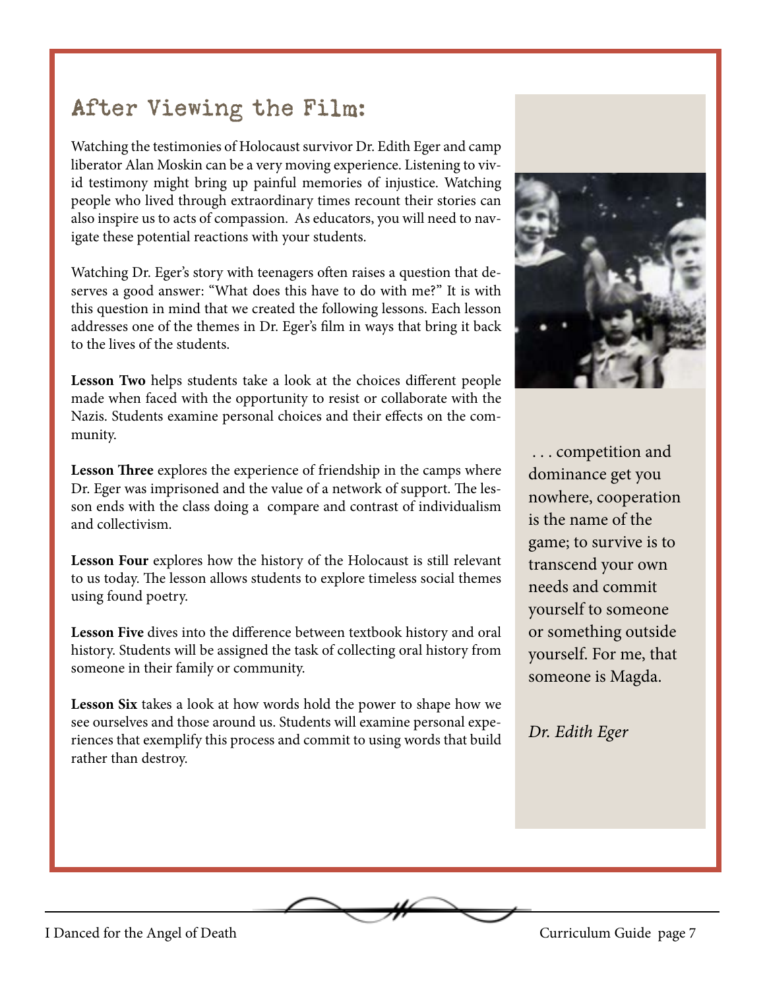# After Viewing the Film:

Watching the testimonies of Holocaust survivor Dr. Edith Eger and camp liberator Alan Moskin can be a very moving experience. Listening to vivid testimony might bring up painful memories of injustice. Watching people who lived through extraordinary times recount their stories can also inspire us to acts of compassion. As educators, you will need to navigate these potential reactions with your students.

Watching Dr. Eger's story with teenagers often raises a question that deserves a good answer: "What does this have to do with me?" It is with this question in mind that we created the following lessons. Each lesson addresses one of the themes in Dr. Eger's film in ways that bring it back to the lives of the students.

**Lesson Two** helps students take a look at the choices different people made when faced with the opportunity to resist or collaborate with the Nazis. Students examine personal choices and their effects on the community.

**Lesson Three** explores the experience of friendship in the camps where Dr. Eger was imprisoned and the value of a network of support. The lesson ends with the class doing a compare and contrast of individualism and collectivism.

**Lesson Four** explores how the history of the Holocaust is still relevant to us today. The lesson allows students to explore timeless social themes using found poetry.

**Lesson Five** dives into the difference between textbook history and oral history. Students will be assigned the task of collecting oral history from someone in their family or community.

**Lesson Six** takes a look at how words hold the power to shape how we see ourselves and those around us. Students will examine personal experiences that exemplify this process and commit to using words that build rather than destroy.



 . . . competition and dominance get you nowhere, cooperation is the name of the game; to survive is to transcend your own needs and commit yourself to someone or something outside yourself. For me, that someone is Magda.

*Dr. Edith Eger*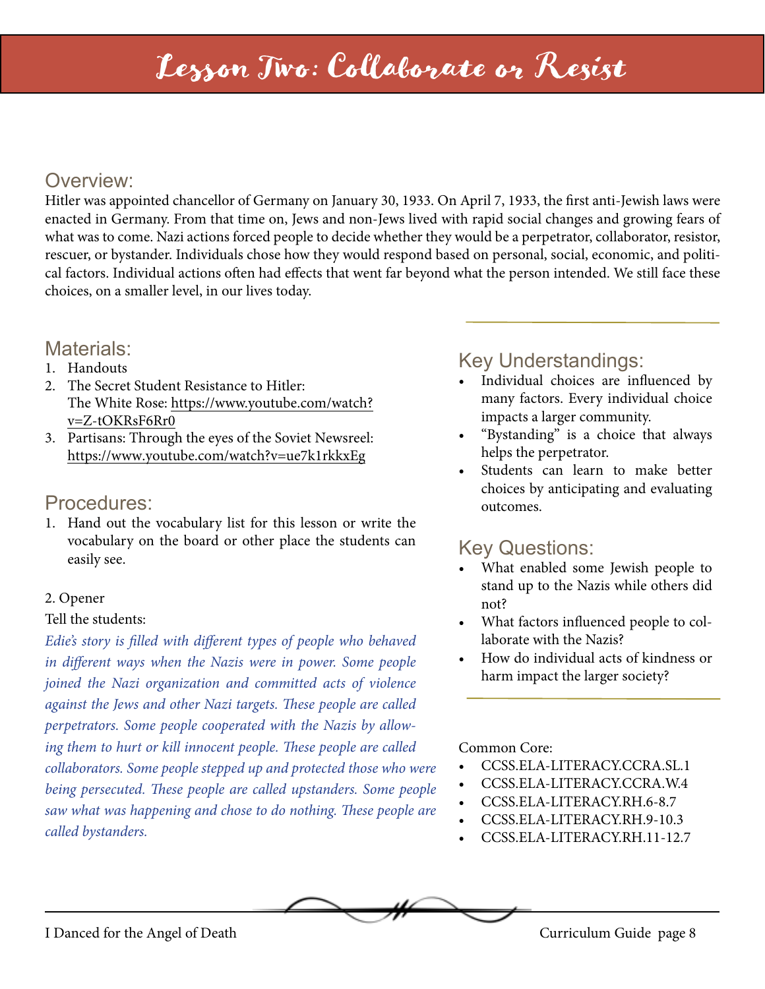# Lesson Two: Collaborate or Resist

# Overview:

Hitler was appointed chancellor of Germany on January 30, 1933. On April 7, 1933, the first anti-Jewish laws were enacted in Germany. From that time on, Jews and non-Jews lived with rapid social changes and growing fears of what was to come. Nazi actions forced people to decide whether they would be a perpetrator, collaborator, resistor, rescuer, or bystander. Individuals chose how they would respond based on personal, social, economic, and political factors. Individual actions often had effects that went far beyond what the person intended. We still face these choices, on a smaller level, in our lives today.

#### Materials:

- 1. Handouts
- 2. The Secret Student Resistance to Hitler: [The White Rose: https://www.youtube.com/watch?](https://www.youtube.com/watch?v=ZtOKRsF6Rr0 ) v=Z[-tOKRsF6Rr0](https://www.youtube.com/watch?v=ZtOKRsF6Rr0 )
- 3. Partisans: Through the eyes of the Soviet Newsreel: https://www.youtube.com/watch?v=ue7k1rkkxEg

#### Procedures:

1. Hand out the vocabulary list for this lesson or write the vocabulary on the board or other place the students can easily see.

#### 2. Opener

#### Tell the students:

*Edie's story is filled with different types of people who behaved in different ways when the Nazis were in power. Some people joined the Nazi organization and committed acts of violence against the Jews and other Nazi targets. These people are called perpetrators. Some people cooperated with the Nazis by allowing them to hurt or kill innocent people. These people are called collaborators. Some people stepped up and protected those who were being persecuted. These people are called upstanders. Some people saw what was happening and chose to do nothing. These people are called bystanders.*

# Key Understandings:

- Individual choices are influenced by many factors. Every individual choice impacts a larger community.
- "Bystanding" is a choice that always helps the perpetrator.
- Students can learn to make better choices by anticipating and evaluating outcomes.

# Key Questions:

- What enabled some Jewish people to stand up to the Nazis while others did not?
- What factors influenced people to collaborate with the Nazis?
- How do individual acts of kindness or harm impact the larger society?

#### Common Core:

- CCSS.ELA-LITERACY.CCRA.SL.1
- CCSS.ELA-LITERACY.CCRA.W.4
- CCSS.ELA-LITERACY.RH.6-8.7
- CCSS.ELA-LITERACY.RH.9-10.3
- CCSS.ELA-LITERACY.RH.11-12.7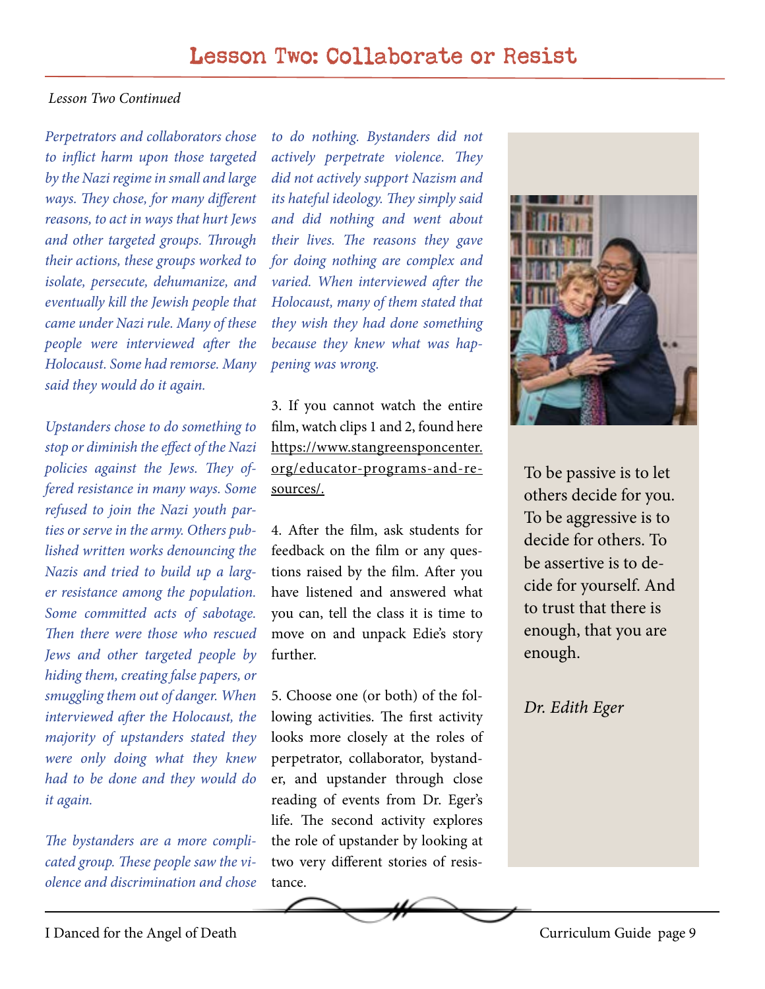#### *Lesson Two Continued*

*Perpetrators and collaborators chose to inflict harm upon those targeted by the Nazi regime in small and large ways. They chose, for many different reasons, to act in ways that hurt Jews and other targeted groups. Through their actions, these groups worked to isolate, persecute, dehumanize, and eventually kill the Jewish people that came under Nazi rule. Many of these people were interviewed after the Holocaust. Some had remorse. Many said they would do it again.*

*Upstanders chose to do something to stop or diminish the effect of the Nazi policies against the Jews. They offered resistance in many ways. Some refused to join the Nazi youth parties or serve in the army. Others published written works denouncing the Nazis and tried to build up a larger resistance among the population. Some committed acts of sabotage. Then there were those who rescued Jews and other targeted people by hiding them, creating false papers, or smuggling them out of danger. When interviewed after the Holocaust, the majority of upstanders stated they were only doing what they knew had to be done and they would do it again.*

*The bystanders are a more complicated group. These people saw the violence and discrimination and chose* 

*to do nothing. Bystanders did not actively perpetrate violence. They did not actively support Nazism and its hateful ideology. They simply said and did nothing and went about their lives. The reasons they gave for doing nothing are complex and varied. When interviewed after the Holocaust, many of them stated that they wish they had done something because they knew what was happening was wrong.*

3. If you cannot watch the entire film, watch clips 1 and 2, found here [https://www.stangreensponcenter.](https://www.stangreensponcenter.org/educator-programs-and-resources/ ) [org/educator-programs-and-re](https://www.stangreensponcenter.org/educator-programs-and-resources/ )[sources/.](https://www.stangreensponcenter.org/educator-programs-and-resources/ )

4. After the film, ask students for feedback on the film or any questions raised by the film. After you have listened and answered what you can, tell the class it is time to move on and unpack Edie's story further.

5. Choose one (or both) of the following activities. The first activity looks more closely at the roles of perpetrator, collaborator, bystander, and upstander through close reading of events from Dr. Eger's life. The second activity explores the role of upstander by looking at two very different stories of resistance.



To be passive is to let others decide for you. To be aggressive is to decide for others. To be assertive is to decide for yourself. And to trust that there is enough, that you are enough.

*Dr. Edith Eger*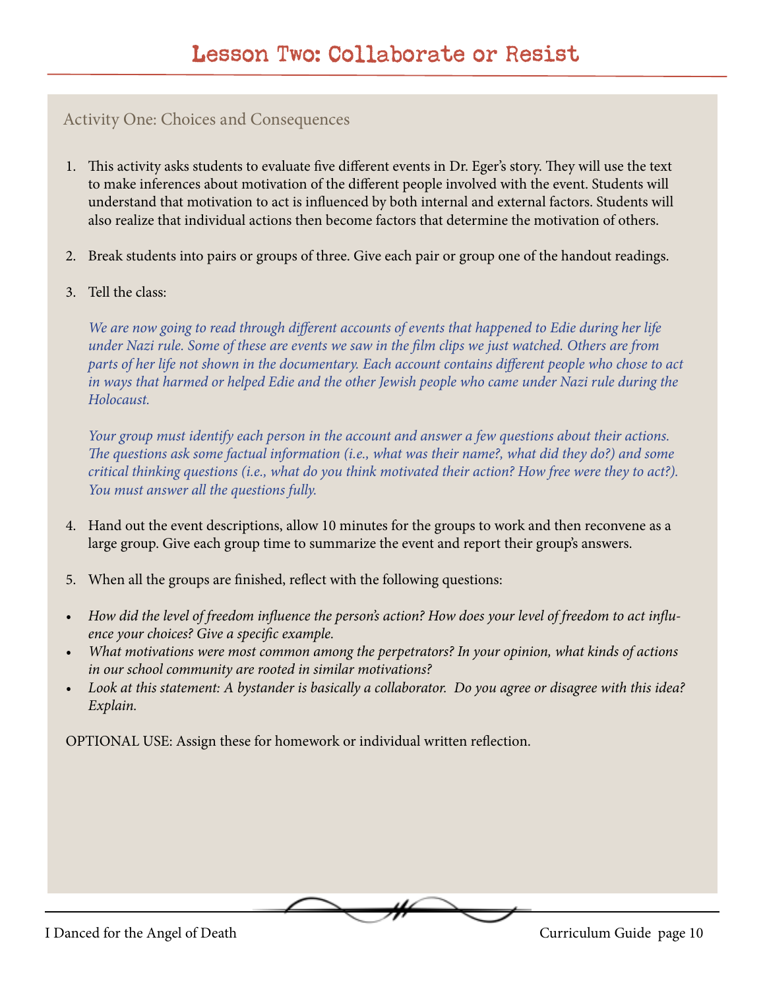#### Activity One: Choices and Consequences

- 1. This activity asks students to evaluate five different events in Dr. Eger's story. They will use the text to make inferences about motivation of the different people involved with the event. Students will understand that motivation to act is influenced by both internal and external factors. Students will also realize that individual actions then become factors that determine the motivation of others.
- 2. Break students into pairs or groups of three. Give each pair or group one of the handout readings.
- 3. Tell the class:

*We are now going to read through different accounts of events that happened to Edie during her life under Nazi rule. Some of these are events we saw in the film clips we just watched. Others are from parts of her life not shown in the documentary. Each account contains different people who chose to act in ways that harmed or helped Edie and the other Jewish people who came under Nazi rule during the Holocaust.* 

*Your group must identify each person in the account and answer a few questions about their actions. The questions ask some factual information (i.e., what was their name?, what did they do?) and some critical thinking questions (i.e., what do you think motivated their action? How free were they to act?). You must answer all the questions fully.*

- 4. Hand out the event descriptions, allow 10 minutes for the groups to work and then reconvene as a large group. Give each group time to summarize the event and report their group's answers.
- 5. When all the groups are finished, reflect with the following questions:
- *• How did the level of freedom influence the person's action? How does your level of freedom to act influence your choices? Give a specific example.*
- *• What motivations were most common among the perpetrators? In your opinion, what kinds of actions in our school community are rooted in similar motivations?*
- *• Look at this statement: A bystander is basically a collaborator. Do you agree or disagree with this idea? Explain.*

OPTIONAL USE: Assign these for homework or individual written reflection.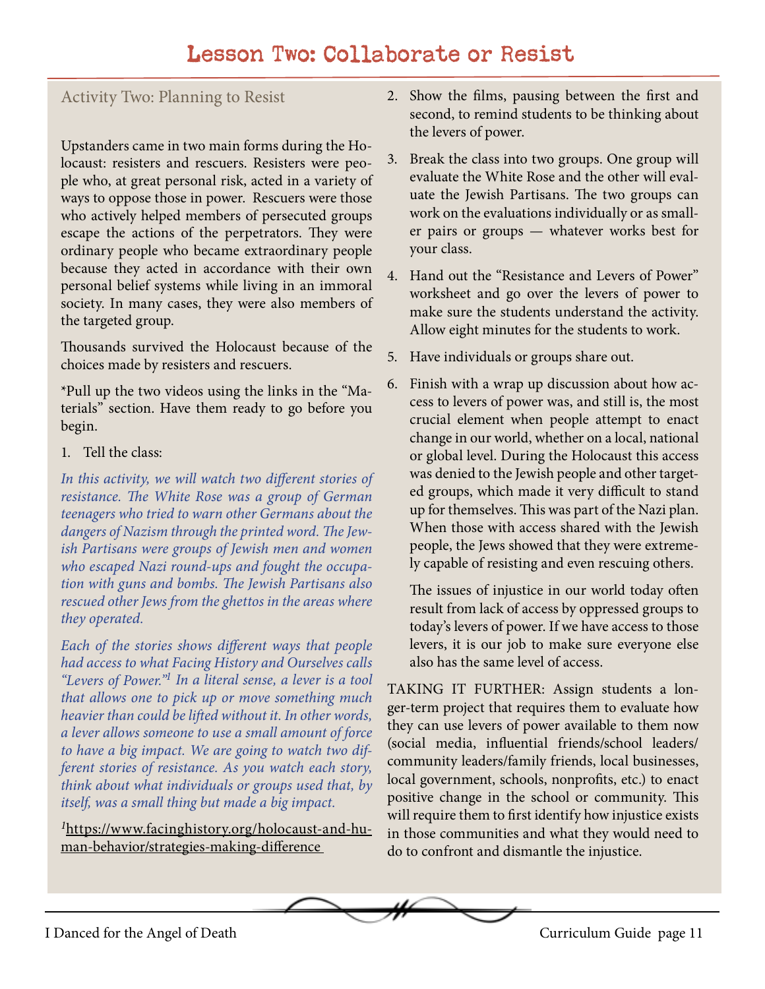# Lesson Two: Collaborate or Resist

#### Activity Two: Planning to Resist

Upstanders came in two main forms during the Holocaust: resisters and rescuers. Resisters were people who, at great personal risk, acted in a variety of ways to oppose those in power. Rescuers were those who actively helped members of persecuted groups escape the actions of the perpetrators. They were ordinary people who became extraordinary people because they acted in accordance with their own personal belief systems while living in an immoral society. In many cases, they were also members of the targeted group.

Thousands survived the Holocaust because of the choices made by resisters and rescuers.

\*Pull up the two videos using the links in the "Materials" section. Have them ready to go before you begin.

1. Tell the class:

*In this activity, we will watch two different stories of resistance. The White Rose was a group of German teenagers who tried to warn other Germans about the dangers of Nazism through the printed word. The Jewish Partisans were groups of Jewish men and women who escaped Nazi round-ups and fought the occupation with guns and bombs. The Jewish Partisans also rescued other Jews from the ghettos in the areas where they operated.*

*Each of the stories shows different ways that people had access to what Facing History and Ourselves calls "Levers of Power."1 In a literal sense, a lever is a tool that allows one to pick up or move something much heavier than could be lifted without it. In other words, a lever allows someone to use a small amount of force to have a big impact. We are going to watch two different stories of resistance. As you watch each story, think about what individuals or groups used that, by itself, was a small thing but made a big impact.*

*<sup>1</sup>*[https://www.facinghistory.org/holocaust-and-hu](https://www.facinghistory.org/holocaust-and-human-behavior/strategies-making-difference )[man-behavior/strategies-making-difference](https://www.facinghistory.org/holocaust-and-human-behavior/strategies-making-difference ) 

- 2. Show the films, pausing between the first and second, to remind students to be thinking about the levers of power.
- 3. Break the class into two groups. One group will evaluate the White Rose and the other will evaluate the Jewish Partisans. The two groups can work on the evaluations individually or as smaller pairs or groups — whatever works best for your class.
- 4. Hand out the "Resistance and Levers of Power" worksheet and go over the levers of power to make sure the students understand the activity. Allow eight minutes for the students to work.
- 5. Have individuals or groups share out.
- 6. Finish with a wrap up discussion about how access to levers of power was, and still is, the most crucial element when people attempt to enact change in our world, whether on a local, national or global level. During the Holocaust this access was denied to the Jewish people and other targeted groups, which made it very difficult to stand up for themselves. This was part of the Nazi plan. When those with access shared with the Jewish people, the Jews showed that they were extremely capable of resisting and even rescuing others.

The issues of injustice in our world today often result from lack of access by oppressed groups to today's levers of power. If we have access to those levers, it is our job to make sure everyone else also has the same level of access.

TAKING IT FURTHER: Assign students a longer-term project that requires them to evaluate how they can use levers of power available to them now (social media, influential friends/school leaders/ community leaders/family friends, local businesses, local government, schools, nonprofits, etc.) to enact positive change in the school or community. This will require them to first identify how injustice exists in those communities and what they would need to do to confront and dismantle the injustice.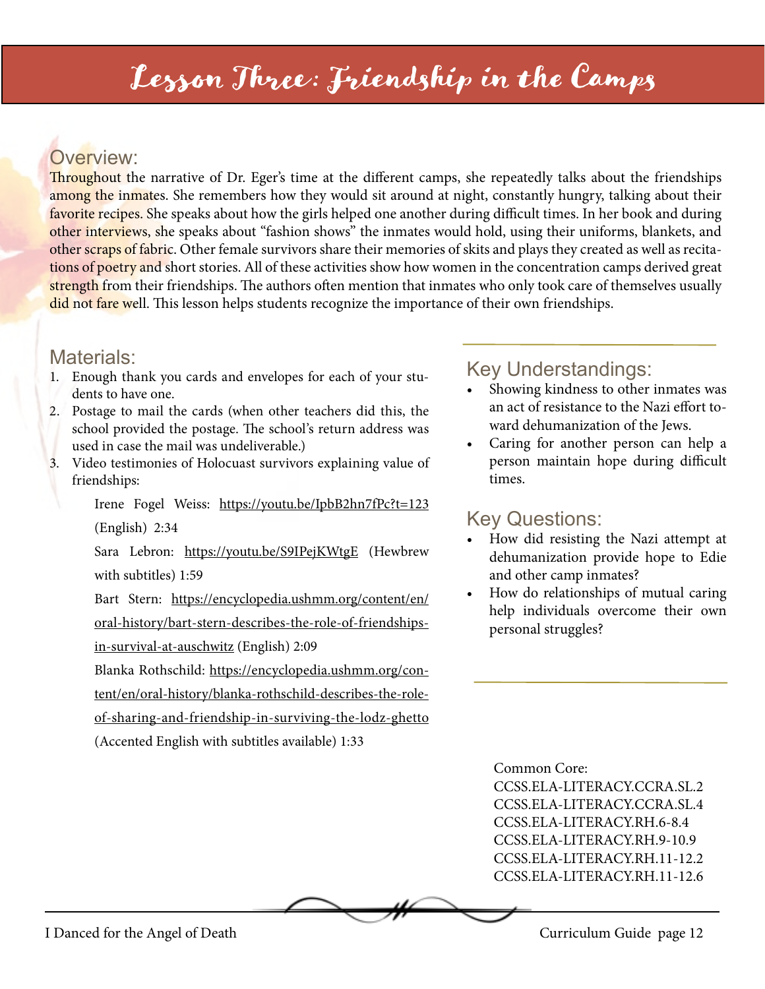# Lesson Three: Friendship in the Camps

# Overview:

Throughout the narrative of Dr. Eger's time at the different camps, she repeatedly talks about the friendships among the inmates. She remembers how they would sit around at night, constantly hungry, talking about their favorite recipes. She speaks about how the girls helped one another during difficult times. In her book and during other interviews, she speaks about "fashion shows" the inmates would hold, using their uniforms, blankets, and other scraps of fabric. Other female survivors share their memories of skits and plays they created as well as recitations of poetry and short stories. All of these activities show how women in the concentration camps derived great strength from their friendships. The authors often mention that inmates who only took care of themselves usually did not fare well. This lesson helps students recognize the importance of their own friendships.

#### Materials:

- 1. Enough thank you cards and envelopes for each of your students to have one.
- 2. Postage to mail the cards (when other teachers did this, the school provided the postage. The school's return address was used in case the mail was undeliverable.)
- 3. Video testimonies of Holocuast survivors explaining value of friendships:

Irene Fogel Weiss: [https://youtu.be/IpbB2hn7fPc?t=123](https://youtu.be/IpbB2hn7fPc?t=123 ) (English) 2:34

Sara Lebron: <https://youtu.be/S9IPejKWtgE>(Hewbrew with subtitles) 1:59

Bart Stern: [https://encyclopedia.ushmm.org/content/en/](https://encyclopedia.ushmm.org/content/en/oral-history/bart-stern-describes-the-role-of-friendships-in-survival-at-auschwitz) [oral-history/bart-stern-describes-the-role-of-friendships](https://encyclopedia.ushmm.org/content/en/oral-history/bart-stern-describes-the-role-of-friendships-in-survival-at-auschwitz)[in-survival-at-auschwitz](https://encyclopedia.ushmm.org/content/en/oral-history/bart-stern-describes-the-role-of-friendships-in-survival-at-auschwitz) (English) 2:09

Blanka Rothschild: [https://encyclopedia.ushmm.org/con-](https://encyclopedia.ushmm.org/content/en/oral-history/blanka-rothschild-describes-the-role-of-sharing-and-friendship-in-surviving-the-lodz-ghetto )

[tent/en/oral-history/blanka-rothschild-describes-the-role-](https://encyclopedia.ushmm.org/content/en/oral-history/blanka-rothschild-describes-the-role-of-sharing-and-friendship-in-surviving-the-lodz-ghetto )

[of-sharing-and-friendship-in-surviving-the-lodz-ghetto](https://encyclopedia.ushmm.org/content/en/oral-history/blanka-rothschild-describes-the-role-of-sharing-and-friendship-in-surviving-the-lodz-ghetto )

(Accented English with subtitles available) 1:33

# Key Understandings:

- Showing kindness to other inmates was an act of resistance to the Nazi effort toward dehumanization of the Jews.
- Caring for another person can help a person maintain hope during difficult times.

# Key Questions:

- How did resisting the Nazi attempt at dehumanization provide hope to Edie and other camp inmates?
- How do relationships of mutual caring help individuals overcome their own personal struggles?

Common Core: CCSS.ELA-LITERACY.CCRA.SL.2 CCSS.ELA-LITERACY.CCRA.SL.4 CCSS.ELA-LITERACY.RH.6-8.4 CCSS.ELA-LITERACY.RH.9-10.9 CCSS.ELA-LITERACY.RH.11-12.2 CCSS.ELA-LITERACY.RH.11-12.6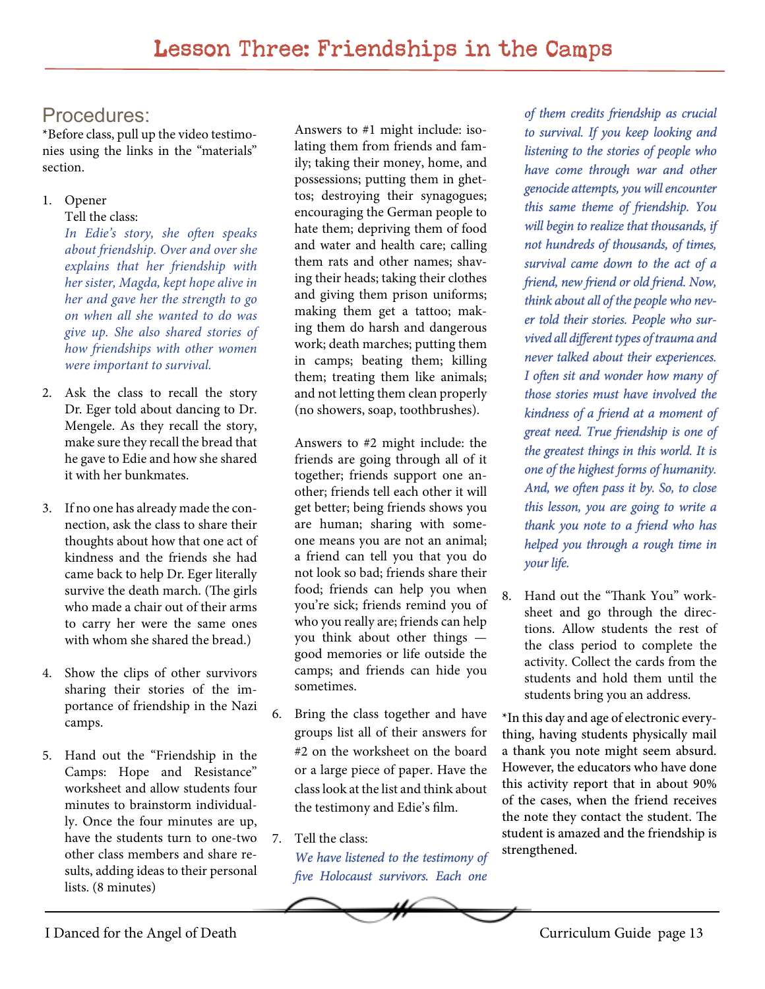#### Procedures:

\*Before class, pull up the video testimonies using the links in the "materials" section.

1. Opener

Tell the class:

*In Edie's story, she often speaks about friendship. Over and over she explains that her friendship with her sister, Magda, kept hope alive in her and gave her the strength to go on when all she wanted to do was give up. She also shared stories of how friendships with other women were important to survival.*

- 2. Ask the class to recall the story Dr. Eger told about dancing to Dr. Mengele. As they recall the story, make sure they recall the bread that he gave to Edie and how she shared it with her bunkmates.
- 3. If no one has already made the connection, ask the class to share their thoughts about how that one act of kindness and the friends she had came back to help Dr. Eger literally survive the death march. (The girls who made a chair out of their arms to carry her were the same ones with whom she shared the bread.)
- 4. Show the clips of other survivors sharing their stories of the importance of friendship in the Nazi camps.
- 5. Hand out the "Friendship in the Camps: Hope and Resistance" worksheet and allow students four minutes to brainstorm individually. Once the four minutes are up, have the students turn to one-two other class members and share results, adding ideas to their personal lists. (8 minutes)

Answers to #1 might include: isolating them from friends and family; taking their money, home, and possessions; putting them in ghettos; destroying their synagogues; encouraging the German people to hate them; depriving them of food and water and health care; calling them rats and other names; shaving their heads; taking their clothes and giving them prison uniforms; making them get a tattoo; making them do harsh and dangerous work; death marches; putting them in camps; beating them; killing them; treating them like animals; and not letting them clean properly (no showers, soap, toothbrushes).

Answers to #2 might include: the friends are going through all of it together; friends support one another; friends tell each other it will get better; being friends shows you are human; sharing with someone means you are not an animal; a friend can tell you that you do not look so bad; friends share their food; friends can help you when you're sick; friends remind you of who you really are; friends can help you think about other things good memories or life outside the camps; and friends can hide you sometimes.

- 6. Bring the class together and have groups list all of their answers for #2 on the worksheet on the board or a large piece of paper. Have the class look at the list and think about the testimony and Edie's film.
- 7. Tell the class:

*We have listened to the testimony of five Holocaust survivors. Each one*

*of them credits friendship as crucial to survival. If you keep looking and listening to the stories of people who have come through war and other genocide attempts, you will encounter this same theme of friendship. You will begin to realize that thousands, if not hundreds of thousands, of times, survival came down to the act of a friend, new friend or old friend. Now, think about all of the people who never told their stories. People who survived all different types of trauma and never talked about their experiences. I often sit and wonder how many of those stories must have involved the kindness of a friend at a moment of great need. True friendship is one of the greatest things in this world. It is one of the highest forms of humanity. And, we often pass it by. So, to close this lesson, you are going to write a thank you note to a friend who has helped you through a rough time in your life.* 

8. Hand out the "Thank You" worksheet and go through the directions. Allow students the rest of the class period to complete the activity. Collect the cards from the students and hold them until the students bring you an address.

\*In this day and age of electronic everything, having students physically mail a thank you note might seem absurd. However, the educators who have done this activity report that in about 90% of the cases, when the friend receives the note they contact the student. The student is amazed and the friendship is strengthened.

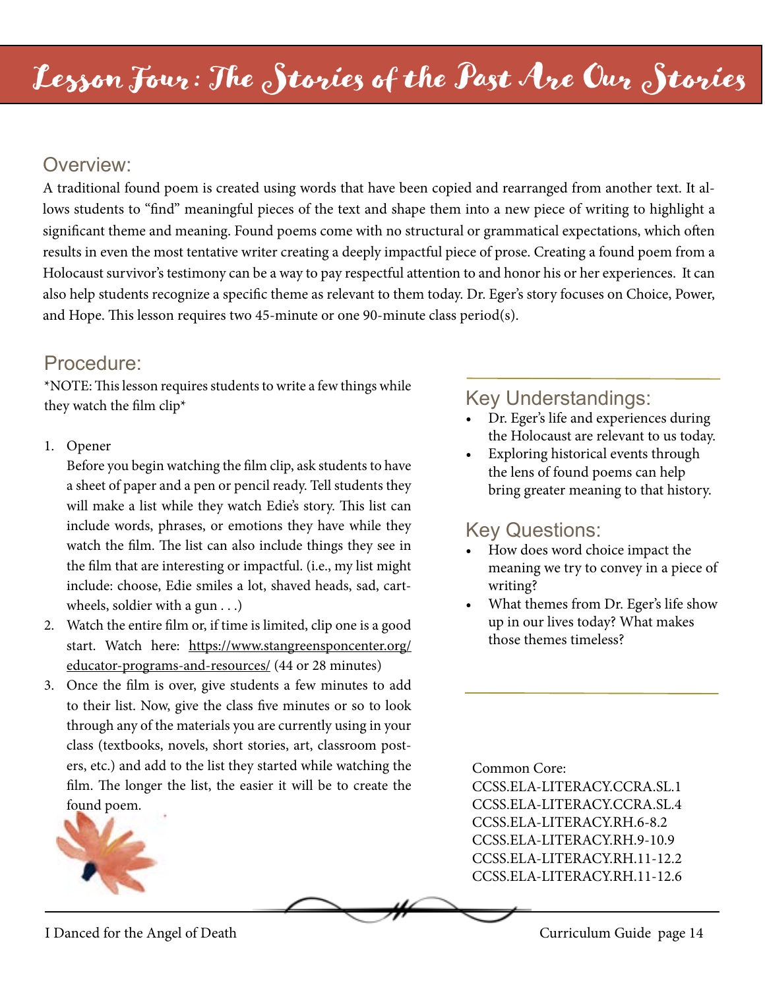#### Overview:

A traditional found poem is created using words that have been copied and rearranged from another text. It allows students to "find" meaningful pieces of the text and shape them into a new piece of writing to highlight a significant theme and meaning. Found poems come with no structural or grammatical expectations, which often results in even the most tentative writer creating a deeply impactful piece of prose. Creating a found poem from a Holocaust survivor's testimony can be a way to pay respectful attention to and honor his or her experiences. It can also help students recognize a specific theme as relevant to them today. Dr. Eger's story focuses on Choice, Power, and Hope. This lesson requires two 45-minute or one 90-minute class period(s).

#### Procedure:

\*NOTE: This lesson requires students to write a few things while they watch the film clip\*

1. Opener

Before you begin watching the film clip, ask students to have a sheet of paper and a pen or pencil ready. Tell students they will make a list while they watch Edie's story. This list can include words, phrases, or emotions they have while they watch the film. The list can also include things they see in the film that are interesting or impactful. (i.e., my list might include: choose, Edie smiles a lot, shaved heads, sad, cartwheels, soldier with a gun . . .)

- 2. Watch the entire film or, if time is limited, clip one is a good start. Watch here: [https://www.stangreensponcenter.org/](https://www.stangreensponcenter.org/educator-programs-and-resources/) [educator-programs-and-resources/](https://www.stangreensponcenter.org/educator-programs-and-resources/) (44 or 28 minutes)
- 3. Once the film is over, give students a few minutes to add to their list. Now, give the class five minutes or so to look through any of the materials you are currently using in your class (textbooks, novels, short stories, art, classroom posters, etc.) and add to the list they started while watching the film. The longer the list, the easier it will be to create the found poem.



# Key Understandings:

- Dr. Eger's life and experiences during the Holocaust are relevant to us today.
- Exploring historical events through the lens of found poems can help bring greater meaning to that history.

# Key Questions:

- How does word choice impact the meaning we try to convey in a piece of writing?
- What themes from Dr. Eger's life show up in our lives today? What makes those themes timeless?

Common Core:

CCSS.ELA-LITERACY.CCRA.SL.1 CCSS.ELA-LITERACY.CCRA.SL.4 CCSS.ELA-LITERACY.RH.6-8.2 CCSS.ELA-LITERACY.RH.9-10.9 CCSS.ELA-LITERACY.RH.11-12.2 CCSS.ELA-LITERACY.RH.11-12.6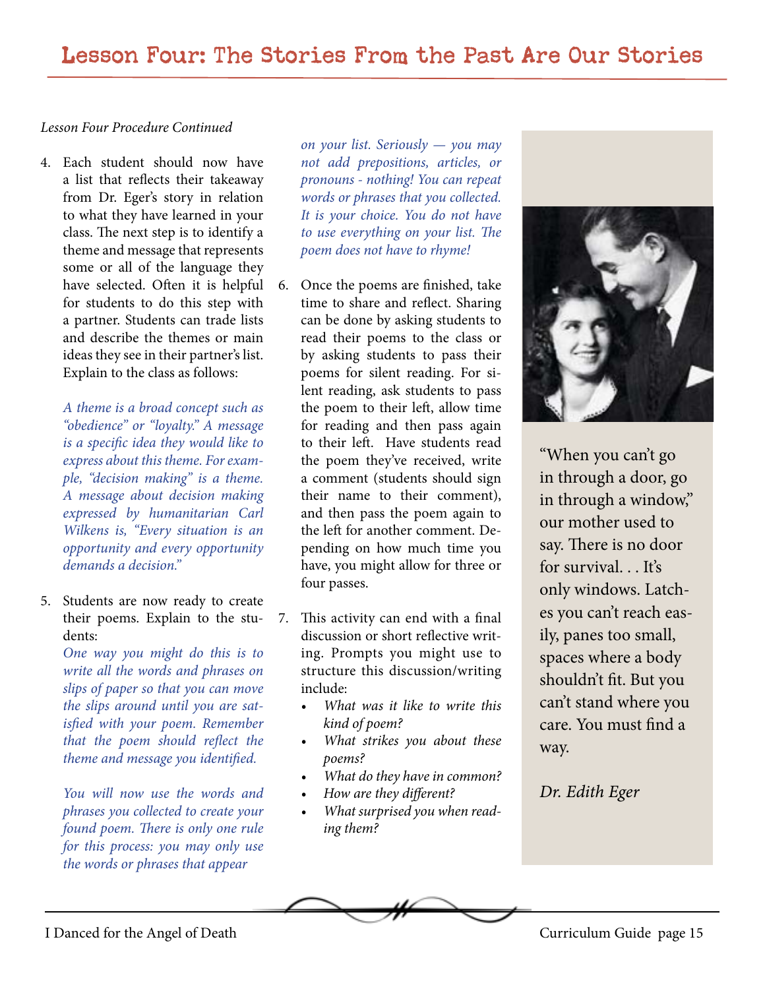#### *Lesson Four Procedure Continued*

4. Each student should now have a list that reflects their takeaway from Dr. Eger's story in relation to what they have learned in your class. The next step is to identify a theme and message that represents some or all of the language they have selected. Often it is helpful for students to do this step with a partner. Students can trade lists and describe the themes or main ideas they see in their partner's list. Explain to the class as follows:

*A theme is a broad concept such as "obedience" or "loyalty." A message is a specific idea they would like to express about this theme. For example, "decision making" is a theme. A message about decision making expressed by humanitarian Carl Wilkens is, "Every situation is an opportunity and every opportunity demands a decision."* 

5. Students are now ready to create their poems. Explain to the students:

> *One way you might do this is to write all the words and phrases on slips of paper so that you can move the slips around until you are satisfied with your poem. Remember that the poem should reflect the theme and message you identified.*

> *You will now use the words and phrases you collected to create your found poem. There is only one rule for this process: you may only use the words or phrases that appear*

*on your list. Seriously — you may not add prepositions, articles, or pronouns - nothing! You can repeat words or phrases that you collected. It is your choice. You do not have to use everything on your list. The poem does not have to rhyme!* 

- 6. Once the poems are finished, take time to share and reflect. Sharing can be done by asking students to read their poems to the class or by asking students to pass their poems for silent reading. For silent reading, ask students to pass the poem to their left, allow time for reading and then pass again to their left. Have students read the poem they've received, write a comment (students should sign their name to their comment), and then pass the poem again to the left for another comment. Depending on how much time you have, you might allow for three or four passes.
- 7. This activity can end with a final discussion or short reflective writing. Prompts you might use to structure this discussion/writing include:
	- *• What was it like to write this kind of poem?*
	- *• What strikes you about these poems?*
	- *• What do they have in common?*
	- *• How are they different?*
	- *• What surprised you when reading them?*



"When you can't go in through a door, go in through a window," our mother used to say. There is no door for survival... It's only windows. Latches you can't reach easily, panes too small, spaces where a body shouldn't fit. But you can't stand where you care. You must find a way.

*Dr. Edith Eger*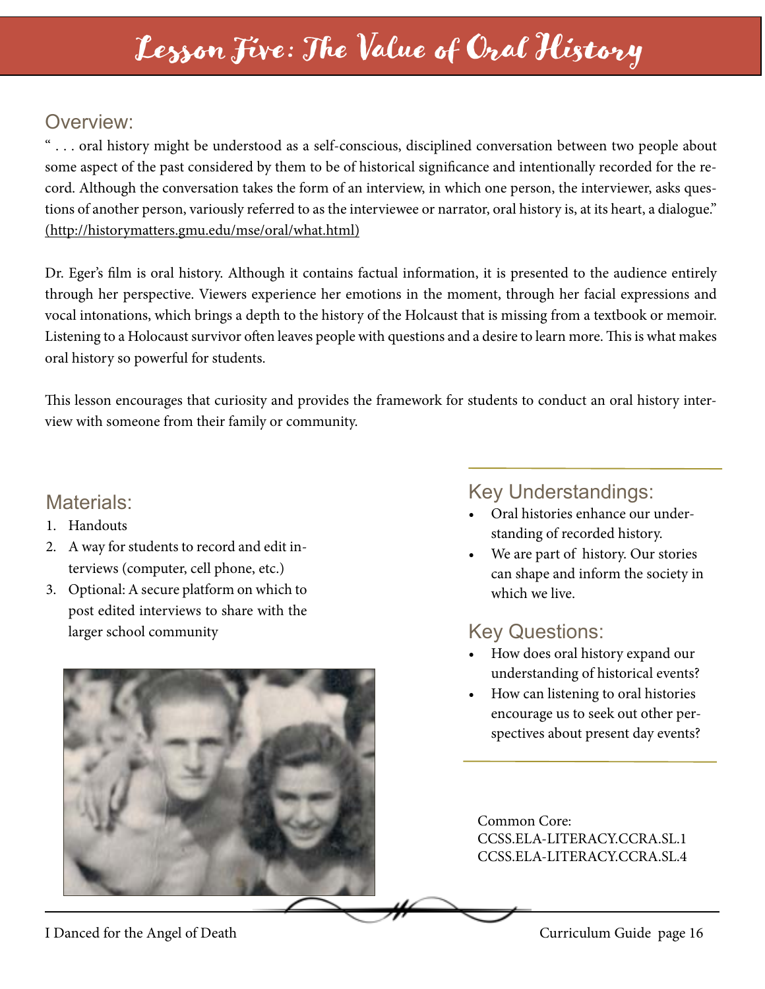# Lesson Five: The Value of Oral History

# Overview:

" . . . oral history might be understood as a self-conscious, disciplined conversation between two people about some aspect of the past considered by them to be of historical significance and intentionally recorded for the record. Although the conversation takes the form of an interview, in which one person, the interviewer, asks questions of another person, variously referred to as the interviewee or narrator, oral history is, at its heart, a dialogue." (http://historymatters.gmu.edu/mse/oral/what.html)

Dr. Eger's film is oral history. Although it contains factual information, it is presented to the audience entirely through her perspective. Viewers experience her emotions in the moment, through her facial expressions and vocal intonations, which brings a depth to the history of the Holcaust that is missing from a textbook or memoir. Listening to a Holocaust survivor often leaves people with questions and a desire to learn more. This is what makes oral history so powerful for students.

This lesson encourages that curiosity and provides the framework for students to conduct an oral history interview with someone from their family or community.

#### Materials:

- 1. Handouts
- 2. A way for students to record and edit interviews (computer, cell phone, etc.)
- 3. Optional: A secure platform on which to post edited interviews to share with the larger school community



#### Key Understandings:

- Oral histories enhance our understanding of recorded history.
- We are part of history. Our stories can shape and inform the society in which we live.

# Key Questions:

- How does oral history expand our understanding of historical events?
- How can listening to oral histories encourage us to seek out other perspectives about present day events?

Common Core: CCSS.ELA-LITERACY.CCRA.SL.1 CCSS.ELA-LITERACY.CCRA.SL.4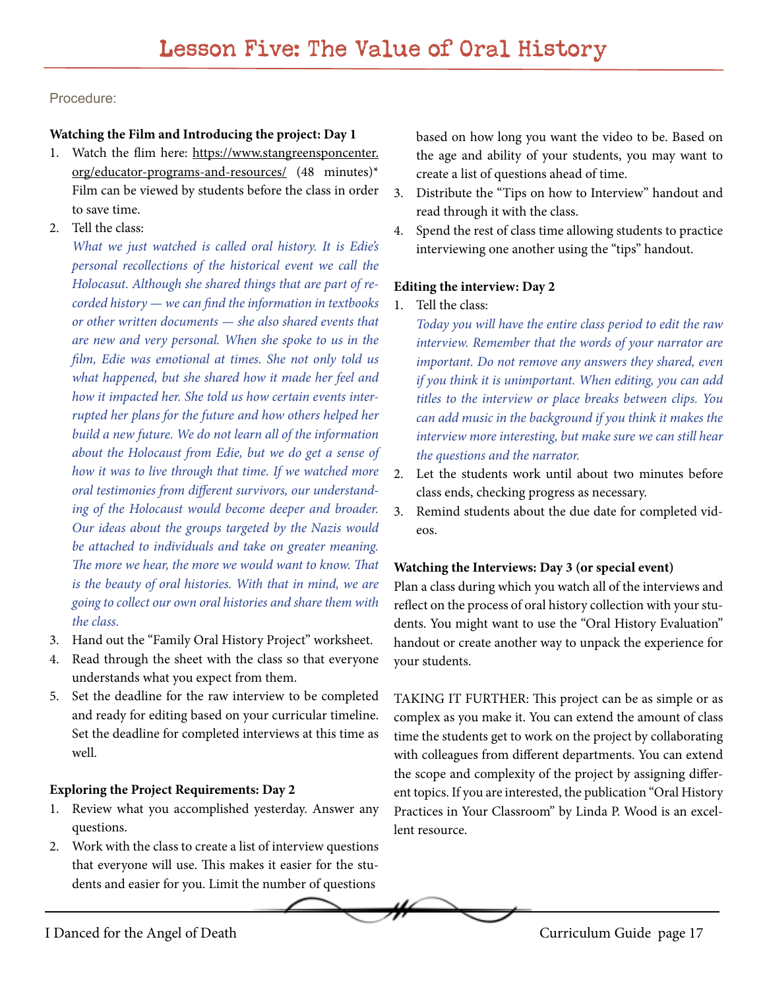Procedure:

#### **Watching the Film and Introducing the project: Day 1**

- 1. Watch the flim here: [https://www.stangreensponcenter.](https://www.stangreensponcenter.org/educator-programs-and-resources/) [org/educator-programs-and-resources/](https://www.stangreensponcenter.org/educator-programs-and-resources/) (48 minutes)\* Film can be viewed by students before the class in order to save time.
- 2. Tell the class:

*What we just watched is called oral history. It is Edie's personal recollections of the historical event we call the Holocasut. Although she shared things that are part of recorded history — we can find the information in textbooks or other written documents — she also shared events that are new and very personal. When she spoke to us in the film, Edie was emotional at times. She not only told us what happened, but she shared how it made her feel and how it impacted her. She told us how certain events interrupted her plans for the future and how others helped her build a new future. We do not learn all of the information about the Holocaust from Edie, but we do get a sense of how it was to live through that time. If we watched more oral testimonies from different survivors, our understanding of the Holocaust would become deeper and broader. Our ideas about the groups targeted by the Nazis would be attached to individuals and take on greater meaning. The more we hear, the more we would want to know. That is the beauty of oral histories. With that in mind, we are going to collect our own oral histories and share them with the class.*

- 3. Hand out the "Family Oral History Project" worksheet.
- 4. Read through the sheet with the class so that everyone understands what you expect from them.
- 5. Set the deadline for the raw interview to be completed and ready for editing based on your curricular timeline. Set the deadline for completed interviews at this time as well.

#### **Exploring the Project Requirements: Day 2**

- 1. Review what you accomplished yesterday. Answer any questions.
- 2. Work with the class to create a list of interview questions that everyone will use. This makes it easier for the students and easier for you. Limit the number of questions

based on how long you want the video to be. Based on the age and ability of your students, you may want to create a list of questions ahead of time.

- 3. Distribute the "Tips on how to Interview" handout and read through it with the class.
- 4. Spend the rest of class time allowing students to practice interviewing one another using the "tips" handout.

#### **Editing the interview: Day 2**

1. Tell the class:

*Today you will have the entire class period to edit the raw interview. Remember that the words of your narrator are important. Do not remove any answers they shared, even if you think it is unimportant. When editing, you can add titles to the interview or place breaks between clips. You can add music in the background if you think it makes the interview more interesting, but make sure we can still hear the questions and the narrator.*

- 2. Let the students work until about two minutes before class ends, checking progress as necessary.
- 3. Remind students about the due date for completed videos.

#### **Watching the Interviews: Day 3 (or special event)**

Plan a class during which you watch all of the interviews and reflect on the process of oral history collection with your students. You might want to use the "Oral History Evaluation" handout or create another way to unpack the experience for your students.

TAKING IT FURTHER: This project can be as simple or as complex as you make it. You can extend the amount of class time the students get to work on the project by collaborating with colleagues from different departments. You can extend the scope and complexity of the project by assigning different topics. If you are interested, the publication "Oral History Practices in Your Classroom" by Linda P. Wood is an excellent resource.

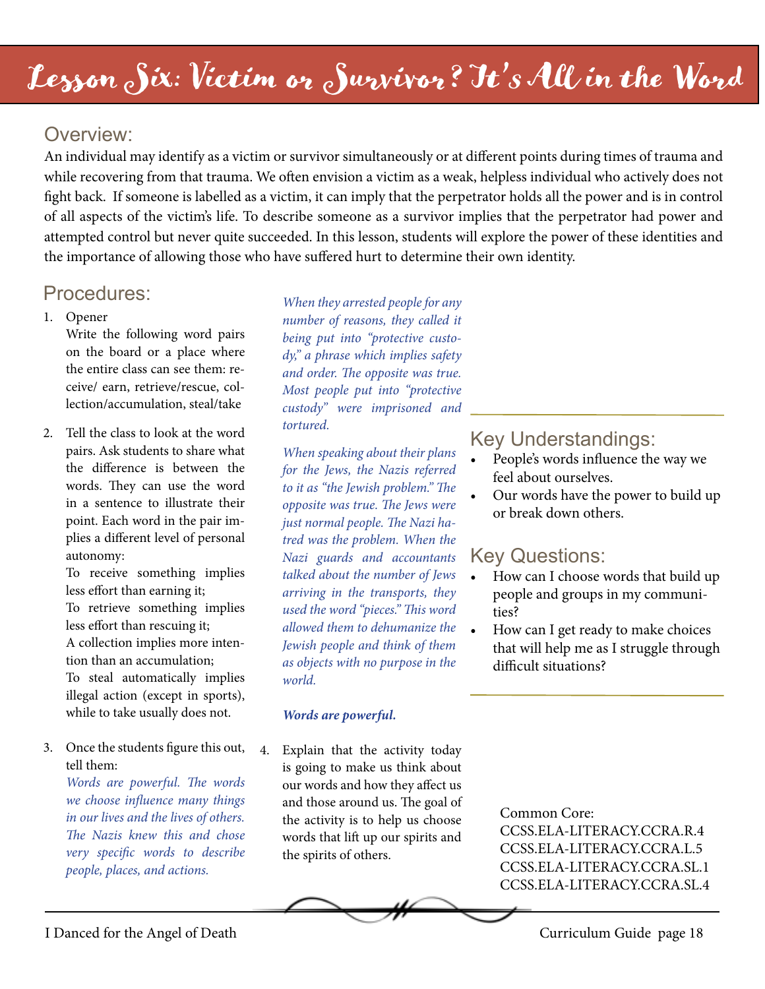# Lesson Six: Victim or Survivor? It's All in the Word

# Overview:

An individual may identify as a victim or survivor simultaneously or at different points during times of trauma and while recovering from that trauma. We often envision a victim as a weak, helpless individual who actively does not fight back. If someone is labelled as a victim, it can imply that the perpetrator holds all the power and is in control of all aspects of the victim's life. To describe someone as a survivor implies that the perpetrator had power and attempted control but never quite succeeded. In this lesson, students will explore the power of these identities and the importance of allowing those who have suffered hurt to determine their own identity.

# Procedures:

#### 1. Opener

Write the following word pairs on the board or a place where the entire class can see them: receive/ earn, retrieve/rescue, collection/accumulation, steal/take

2. Tell the class to look at the word pairs. Ask students to share what the difference is between the words. They can use the word in a sentence to illustrate their point. Each word in the pair implies a different level of personal autonomy:

> To receive something implies less effort than earning it; To retrieve something implies less effort than rescuing it; A collection implies more intention than an accumulation; To steal automatically implies illegal action (except in sports), while to take usually does not.

3. Once the students figure this out, tell them:

*Words are powerful. The words we choose influence many things in our lives and the lives of others. The Nazis knew this and chose very specific words to describe people, places, and actions.*

*When they arrested people for any number of reasons, they called it being put into "protective custody," a phrase which implies safety and order. The opposite was true. Most people put into "protective custody" were imprisoned and tortured.* 

*When speaking about their plans for the Jews, the Nazis referred to it as "the Jewish problem." The opposite was true. The Jews were just normal people. The Nazi hatred was the problem. When the Nazi guards and accountants talked about the number of Jews arriving in the transports, they used the word "pieces." This word allowed them to dehumanize the Jewish people and think of them as objects with no purpose in the world.*

#### *Words are powerful.*

4. Explain that the activity today is going to make us think about our words and how they affect us and those around us. The goal of the activity is to help us choose words that lift up our spirits and the spirits of others.

#### Key Understandings:

- People's words influence the way we feel about ourselves.
- Our words have the power to build up or break down others.

# Key Questions:

- How can I choose words that build up people and groups in my communities?
- How can I get ready to make choices that will help me as I struggle through difficult situations?

Common Core: CCSS.ELA-LITERACY.CCRA.R.4 CCSS.ELA-LITERACY.CCRA.L.5 CCSS.ELA-LITERACY.CCRA.SL.1 CCSS.ELA-LITERACY.CCRA.SL.4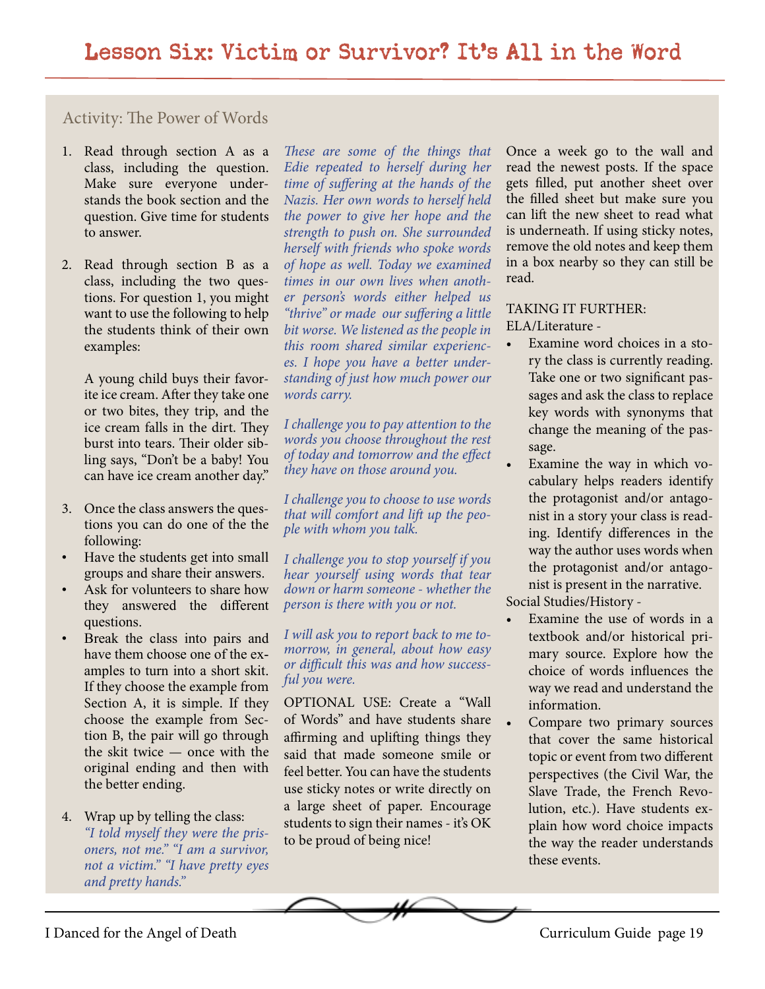#### Activity: The Power of Words

- 1. Read through section A as a class, including the question. Make sure everyone understands the book section and the question. Give time for students to answer.
- 2. Read through section B as a class, including the two questions. For question 1, you might want to use the following to help the students think of their own examples:

A young child buys their favorite ice cream. After they take one or two bites, they trip, and the ice cream falls in the dirt. They burst into tears. Their older sibling says, "Don't be a baby! You can have ice cream another day."

- 3. Once the class answers the questions you can do one of the the following:
- Have the students get into small groups and share their answers.
- Ask for volunteers to share how they answered the different questions.
- Break the class into pairs and have them choose one of the examples to turn into a short skit. If they choose the example from Section A, it is simple. If they choose the example from Section B, the pair will go through the skit twice — once with the original ending and then with the better ending.

#### 4. Wrap up by telling the class: *"I told myself they were the prisoners, not me." "I am a survivor, not a victim." "I have pretty eyes and pretty hands."*

*These are some of the things that Edie repeated to herself during her time of suffering at the hands of the Nazis. Her own words to herself held the power to give her hope and the strength to push on. She surrounded herself with friends who spoke words of hope as well. Today we examined times in our own lives when another person's words either helped us "thrive" or made our suffering a little bit worse. We listened as the people in this room shared similar experiences. I hope you have a better understanding of just how much power our words carry.*

*I challenge you to pay attention to the words you choose throughout the rest of today and tomorrow and the effect they have on those around you.*

*I challenge you to choose to use words that will comfort and lift up the people with whom you talk.* 

*I challenge you to stop yourself if you hear yourself using words that tear down or harm someone - whether the person is there with you or not.*

*I will ask you to report back to me tomorrow, in general, about how easy or difficult this was and how successful you were.*

OPTIONAL USE: Create a "Wall of Words" and have students share affirming and uplifting things they said that made someone smile or feel better. You can have the students use sticky notes or write directly on a large sheet of paper. Encourage students to sign their names - it's OK to be proud of being nice!

Once a week go to the wall and read the newest posts. If the space gets filled, put another sheet over the filled sheet but make sure you can lift the new sheet to read what is underneath. If using sticky notes, remove the old notes and keep them in a box nearby so they can still be read.

TAKING IT FURTHER: ELA/Literature -

- Examine word choices in a story the class is currently reading. Take one or two significant passages and ask the class to replace key words with synonyms that change the meaning of the passage.
- Examine the way in which vocabulary helps readers identify the protagonist and/or antagonist in a story your class is reading. Identify differences in the way the author uses words when the protagonist and/or antagonist is present in the narrative.

Social Studies/History -

- Examine the use of words in a textbook and/or historical primary source. Explore how the choice of words influences the way we read and understand the information.
- Compare two primary sources that cover the same historical topic or event from two different perspectives (the Civil War, the Slave Trade, the French Revolution, etc.). Have students explain how word choice impacts the way the reader understands these events.

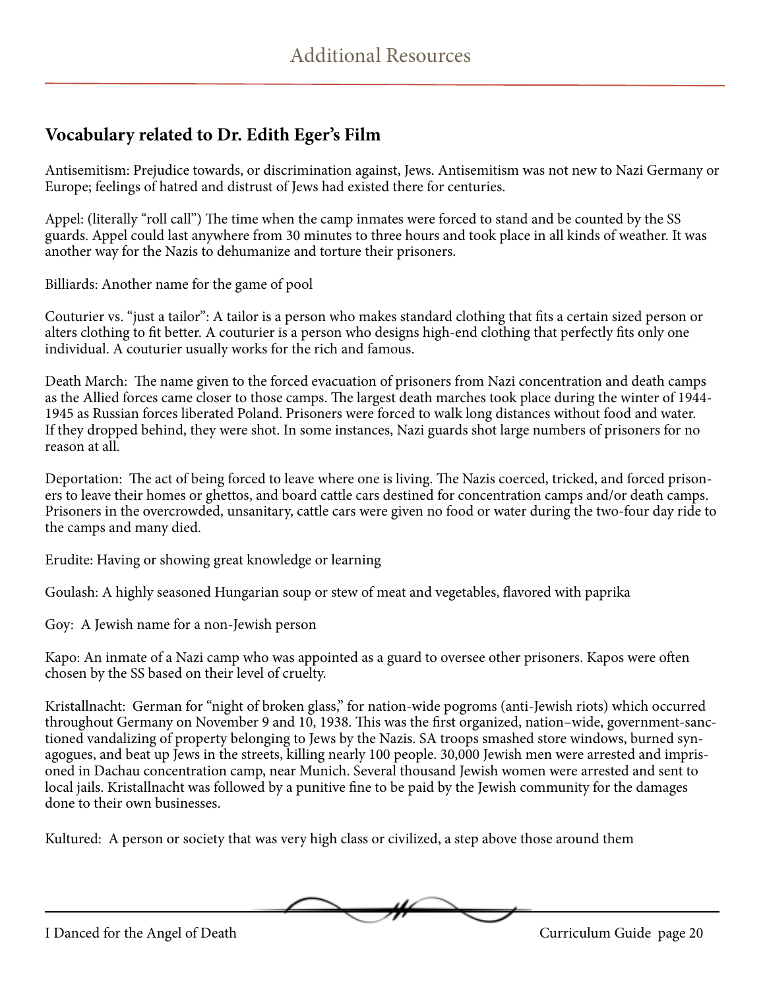### **Vocabulary related to Dr. Edith Eger's Film**

Antisemitism: Prejudice towards, or discrimination against, Jews. Antisemitism was not new to Nazi Germany or Europe; feelings of hatred and distrust of Jews had existed there for centuries.

Appel: (literally "roll call") The time when the camp inmates were forced to stand and be counted by the SS guards. Appel could last anywhere from 30 minutes to three hours and took place in all kinds of weather. It was another way for the Nazis to dehumanize and torture their prisoners.

Billiards: Another name for the game of pool

Couturier vs. "just a tailor": A tailor is a person who makes standard clothing that fits a certain sized person or alters clothing to fit better. A couturier is a person who designs high-end clothing that perfectly fits only one individual. A couturier usually works for the rich and famous.

Death March: The name given to the forced evacuation of prisoners from Nazi concentration and death camps as the Allied forces came closer to those camps. The largest death marches took place during the winter of 1944- 1945 as Russian forces liberated Poland. Prisoners were forced to walk long distances without food and water. If they dropped behind, they were shot. In some instances, Nazi guards shot large numbers of prisoners for no reason at all.

Deportation: The act of being forced to leave where one is living. The Nazis coerced, tricked, and forced prisoners to leave their homes or ghettos, and board cattle cars destined for concentration camps and/or death camps. Prisoners in the overcrowded, unsanitary, cattle cars were given no food or water during the two-four day ride to the camps and many died.

Erudite: Having or showing great knowledge or learning

Goulash: A highly seasoned Hungarian soup or stew of meat and vegetables, flavored with paprika

Goy: A Jewish name for a non-Jewish person

Kapo: An inmate of a Nazi camp who was appointed as a guard to oversee other prisoners. Kapos were often chosen by the SS based on their level of cruelty.

Kristallnacht: German for "night of broken glass," for nation-wide pogroms (anti-Jewish riots) which occurred throughout Germany on November 9 and 10, 1938. This was the first organized, nation–wide, government-sanctioned vandalizing of property belonging to Jews by the Nazis. SA troops smashed store windows, burned synagogues, and beat up Jews in the streets, killing nearly 100 people. 30,000 Jewish men were arrested and imprisoned in Dachau concentration camp, near Munich. Several thousand Jewish women were arrested and sent to local jails. Kristallnacht was followed by a punitive fine to be paid by the Jewish community for the damages done to their own businesses.

Kultured: A person or society that was very high class or civilized, a step above those around them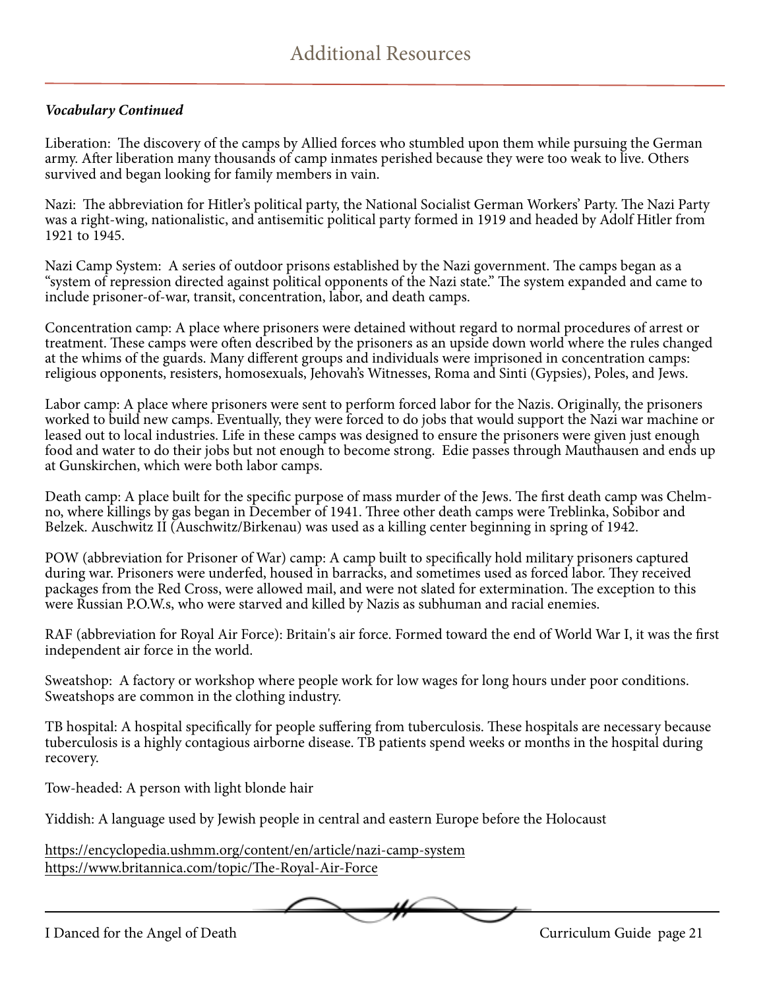#### *Vocabulary Continued*

Liberation: The discovery of the camps by Allied forces who stumbled upon them while pursuing the German army. After liberation many thousands of camp inmates perished because they were too weak to live. Others survived and began looking for family members in vain.

Nazi: The abbreviation for Hitler's political party, the National Socialist German Workers' Party. The Nazi Party was a right-wing, nationalistic, and antisemitic political party formed in 1919 and headed by Adolf Hitler from 1921 to 1945.

Nazi Camp System: A series of outdoor prisons established by the Nazi government. The camps began as a "system of repression directed against political opponents of the Nazi state." The system expanded and came to include prisoner-of-war, transit, concentration, labor, and death camps.

Concentration camp: A place where prisoners were detained without regard to normal procedures of arrest or treatment. These camps were often described by the prisoners as an upside down world where the rules changed at the whims of the guards. Many different groups and individuals were imprisoned in concentration camps: religious opponents, resisters, homosexuals, Jehovah's Witnesses, Roma and Sinti (Gypsies), Poles, and Jews.

Labor camp: A place where prisoners were sent to perform forced labor for the Nazis. Originally, the prisoners worked to build new camps. Eventually, they were forced to do jobs that would support the Nazi war machine or leased out to local industries. Life in these camps was designed to ensure the prisoners were given just enough food and water to do their jobs but not enough to become strong. Edie passes through Mauthausen and ends up at Gunskirchen, which were both labor camps.

Death camp: A place built for the specific purpose of mass murder of the Jews. The first death camp was Chelmno, where killings by gas began in December of 1941. Three other death camps were Treblinka, Sobibor and Belzek. Auschwitz II (Auschwitz/Birkenau) was used as a killing center beginning in spring of 1942.

POW (abbreviation for Prisoner of War) camp: A camp built to specifically hold military prisoners captured during war. Prisoners were underfed, housed in barracks, and sometimes used as forced labor. They received packages from the Red Cross, were allowed mail, and were not slated for extermination. The exception to this were Russian P.O.W.s, who were starved and killed by Nazis as subhuman and racial enemies.

RAF (abbreviation for Royal Air Force): Britain's air force. Formed toward the end of World War I, it was the first independent air force in the world.

Sweatshop: A factory or workshop where people work for low wages for long hours under poor conditions. Sweatshops are common in the clothing industry.

TB hospital: A hospital specifically for people suffering from tuberculosis. These hospitals are necessary because tuberculosis is a highly contagious airborne disease. TB patients spend weeks or months in the hospital during recovery.

Tow-headed: A person with light blonde hair

Yiddish: A language used by Jewish people in central and eastern Europe before the Holocaust

<https://encyclopedia.ushmm.org/content/en/article/nazi-camp-system> <https://www.britannica.com/topic/The-Royal-Air-Force>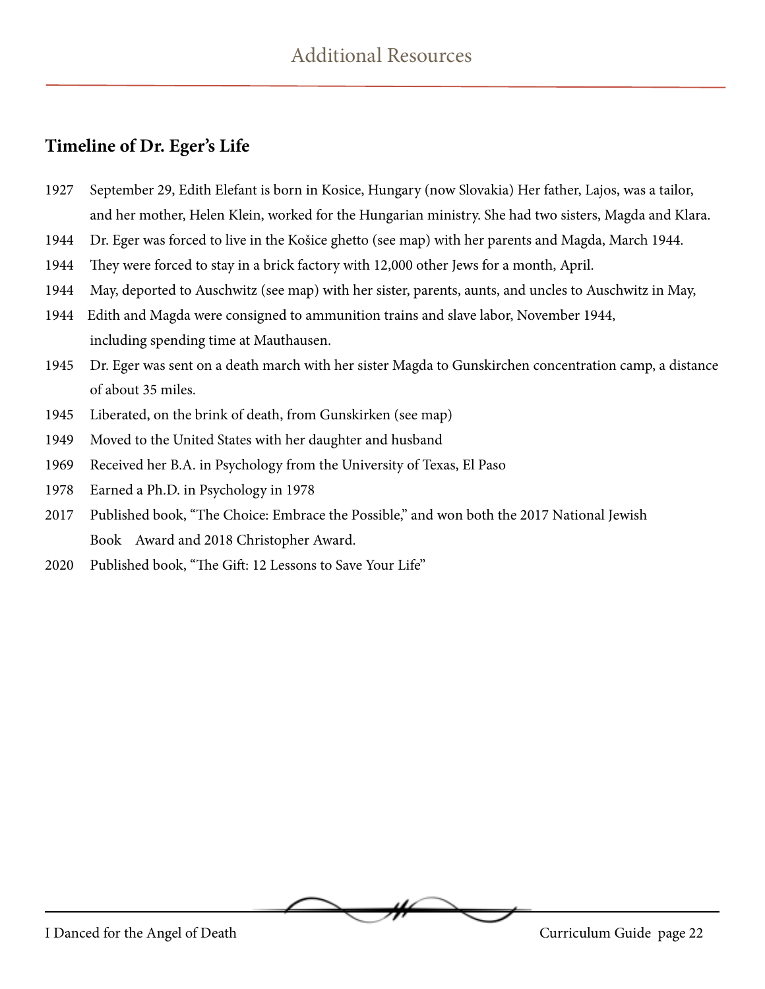#### **Timeline of Dr. Eger's Life**

- 1927 September 29, Edith Elefant is born in Kosice, Hungary (now Slovakia) Her father, Lajos, was a tailor, and her mother, Helen Klein, worked for the Hungarian ministry. She had two sisters, Magda and Klara.
- 1944 Dr. Eger was forced to live in the Košice ghetto (see map) with her parents and Magda, March 1944.
- 1944 They were forced to stay in a brick factory with 12,000 other Jews for a month, April.
- 1944 May, deported to Auschwitz (see map) with her sister, parents, aunts, and uncles to Auschwitz in May,
- 1944 Edith and Magda were consigned to ammunition trains and slave labor, November 1944, including spending time at Mauthausen.
- 1945 Dr. Eger was sent on a death march with her sister Magda to Gunskirchen concentration camp, a distance of about 35 miles.
- 1945 Liberated, on the brink of death, from Gunskirken (see map)
- 1949 Moved to the United States with her daughter and husband
- 1969 Received her B.A. in Psychology from the University of Texas, El Paso
- 1978 Earned a Ph.D. in Psychology in 1978
- 2017 Published book, "The Choice: Embrace the Possible," and won both the 2017 National Jewish Book Award and 2018 Christopher Award.
- 2020 Published book, "The Gift: 12 Lessons to Save Your Life"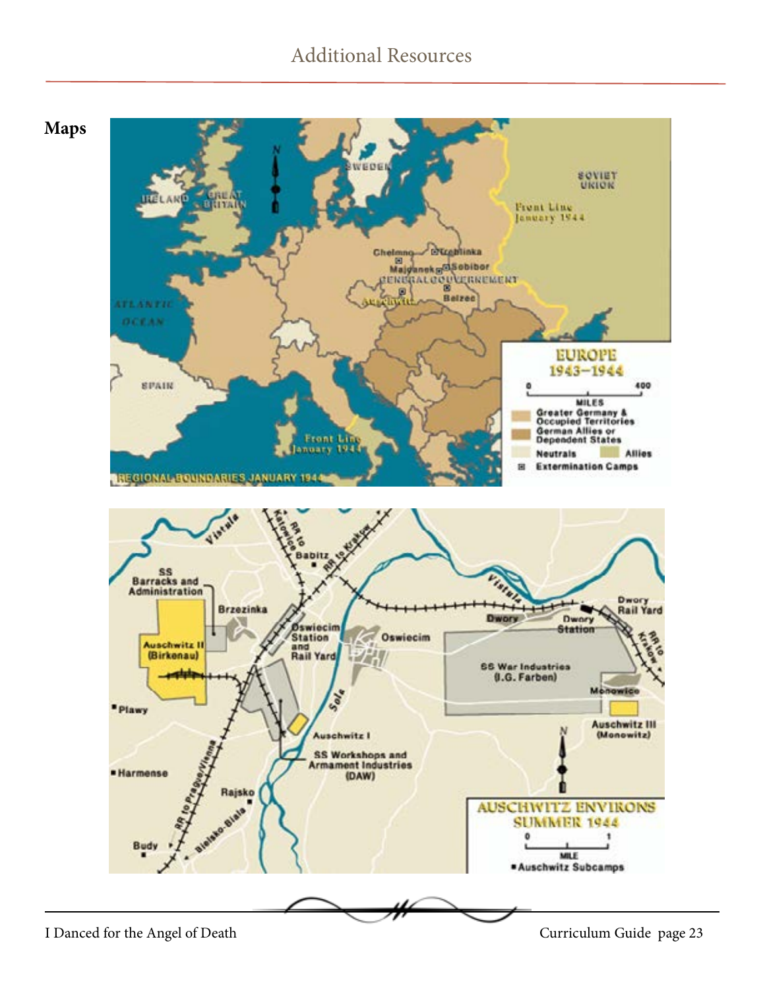# Additional Resources

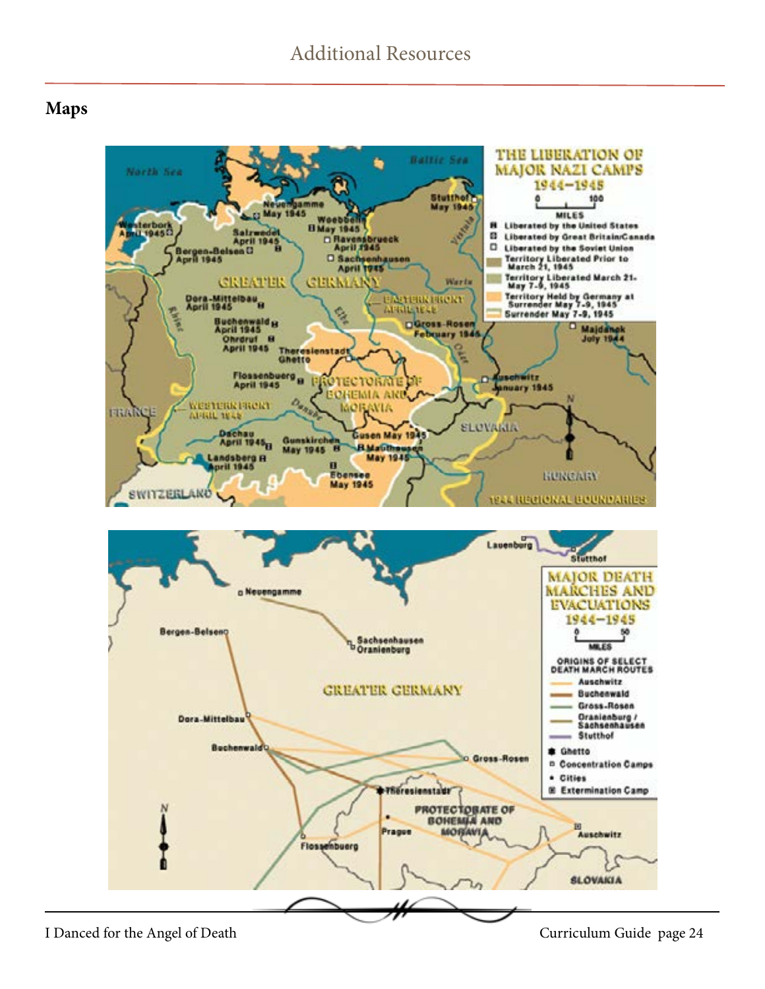#### **Maps**